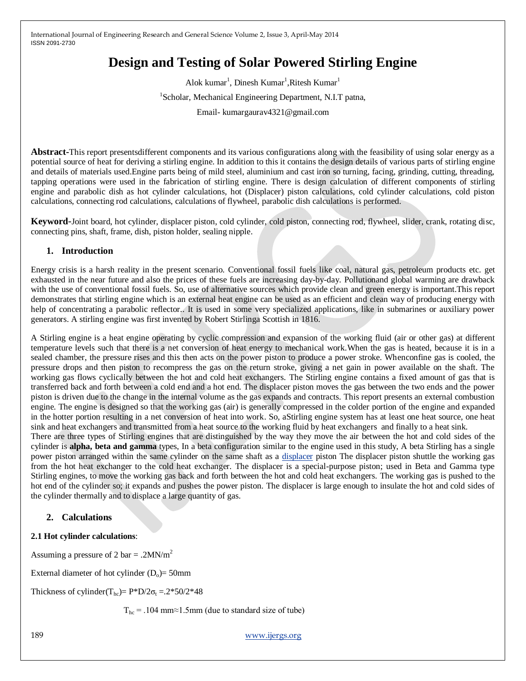# **Design and Testing of Solar Powered Stirling Engine**

Alok kumar<sup>1</sup>, Dinesh Kumar<sup>1</sup>, Ritesh Kumar<sup>1</sup> <sup>1</sup>Scholar, Mechanical Engineering Department, N.I.T patna, Email- kumargaurav4321@gmail.com

**Abstract-**This report presentsdifferent components and its various configurations along with the feasibility of using solar energy as a potential source of heat for deriving a stirling engine. In addition to this it contains the design details of various parts of stirling engine and details of materials used.Engine parts being of mild steel, aluminium and cast iron so turning, facing, grinding, cutting, threading, tapping operations were used in the fabrication of stirling engine. There is design calculation of different components of stirling engine and parabolic dish as hot cylinder calculations, hot (Displacer) piston calculations, cold cylinder calculations, cold piston calculations, connecting rod calculations, calculations of flywheel, parabolic dish calculations is performed.

**Keyword**-Joint board, hot cylinder, displacer piston, cold cylinder, cold piston, connecting rod, flywheel, slider, crank, rotating disc, connecting pins, shaft, frame, dish, piston holder, sealing nipple.

## **1. Introduction**

Energy crisis is a harsh reality in the present scenario. Conventional fossil fuels like coal, natural gas, petroleum products etc. get exhausted in the near future and also the prices of these fuels are increasing day-by-day. Pollutionand global warming are drawback with the use of conventional fossil fuels. So, use of alternative sources which provide clean and green energy is important. This report demonstrates that stirling engine which is an external heat engine can be used as an efficient and clean way of producing energy with help of concentrating a parabolic reflector.. It is used in some very specialized applications, like in submarines or auxiliary power generators. A stirling engine was first invented by Robert Stirlinga Scottish in 1816.

A Stirling engine is a heat engine operating by cyclic compression and expansion of the working fluid (air or other gas) at different temperature levels such that there is a net conversion of heat energy to mechanical work.When the gas is heated, because it is in a sealed chamber, the pressure rises and this then acts on the power piston to produce a power stroke. Whenconfine gas is cooled, the pressure drops and then piston to recompress the gas on the return stroke, giving a net gain in power available on the shaft. The working gas flows cyclically between the hot and cold heat exchangers. The Stirling engine contains a fixed amount of gas that is transferred back and forth between a cold end and a hot end. The displacer piston moves the gas between the two ends and the power piston is driven due to the change in the internal volume as the gas expands and contracts. This report presents an external combustion engine. The engine is designed so that the working gas (air) is generally compressed in the colder portion of the engine and expanded in the hotter portion resulting in a net conversion of heat into work. So, aStirling engine system has at least one heat source, one heat sink and heat exchangers and transmitted from a heat source to the working fluid by heat exchangers and finally to a heat sink.

There are three types of Stirling engines that are distinguished by the way they move the air between the hot and cold sides of the cylinder is **alpha, beta and gamma** types, In a beta configuration similar to the engine used in this study, A beta Stirling has a single power piston arranged within the same cylinder on the same shaft as a [displacer](http://en.wikipedia.org/wiki/Displacer) piston The displacer piston shuttle the working gas from the hot heat exchanger to the cold heat exchanger. The displacer is a special-purpose piston; used in Beta and Gamma type Stirling engines, to move the working gas back and forth between the hot and cold heat exchangers. The working gas is pushed to the hot end of the cylinder so; it expands and pushes the power piston. The displacer is large enough to insulate the hot and cold sides of the cylinder thermally and to displace a large quantity of gas.

# **2. Calculations**

# **2.1 Hot cylinder calculations**:

Assuming a pressure of 2 bar = .2MN/m<sup>2</sup>

External diameter of hot cylinder  $(D_0)$ = 50mm

Thickness of cylinder(T<sub>hc</sub>)=  $P^*D/2\sigma_t = .2^*50/2^*48$ 

 $T_{hc}$  = .104 mm≈1.5mm (due to standard size of tube)

189 [www.ijergs.org](http://www.ijergs.org/)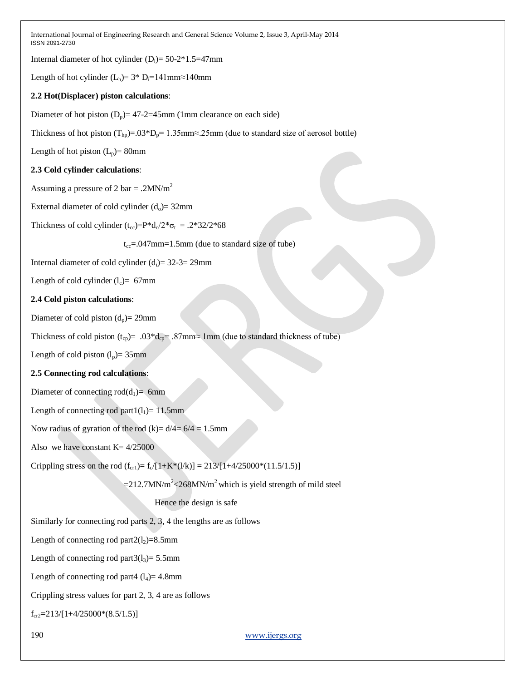Internal diameter of hot cylinder  $(D_i)=50-2*1.5=47$ mm

Length of hot cylinder (L<sub>h</sub>)=  $3$ <sup>\*</sup> D<sub>i</sub>=141mm≈140mm

#### **2.2 Hot(Displacer) piston calculations**:

Diameter of hot piston  $(D_p)$ = 47-2=45mm (1mm clearance on each side)

Thickness of hot piston  $(T_{hp}) = .03*D_p = 1.35mm \approx .25mm$  (due to standard size of aerosol bottle)

Length of hot piston  $(L_p)$ = 80mm

#### **2.3 Cold cylinder calculations**:

Assuming a pressure of 2 bar = .2MN/m<sup>2</sup>

External diameter of cold cylinder  $(d_0)$ = 32mm

Thickness of cold cylinder  $(t_{\rm cc})=P^*d_0/2^*\sigma_t = .2^*32/2^*68$ 

 $t_{cc} = 0.047$ mm=1.5mm (due to standard size of tube)

Internal diameter of cold cylinder  $(d<sub>i</sub>) = 32-3= 29$ mm

Length of cold cylinder  $(l_c)$ = 67mm

## **2.4 Cold piston calculations**:

Diameter of cold piston  $(d_n)$ = 29mm

Thickness of cold piston (t<sub>cp</sub>)= .03\*d<sub>cp</sub>= .87mm≈ 1mm (due to standard thickness of tube)

Length of cold piston  $(l_p)$ = 35mm

#### **2.5 Connecting rod calculations**:

Diameter of connecting  $\text{rod}(d_1)$ = 6mm

Length of connecting rod part $1(l_1)= 11.5$ mm

Now radius of gyration of the rod  $(k)$  =  $\frac{d}{4}$  = 6/4 = 1.5mm

Also we have constant  $K = 4/25000$ 

Crippling stress on the rod  $(f_{cr}) = f_c/[1+K^*(1/k)] = 213/[1+4/25000^*(11.5/1.5)]$ 

 $=$  212.7MN/m<sup>2</sup> < 268MN/m<sup>2</sup> which is yield strength of mild steel

Hence the design is safe

Similarly for connecting rod parts 2, 3, 4 the lengths are as follows

Length of connecting rod part $2(l_2)=8.5$ mm

Length of connecting rod part $3(l_3)=5.5$ mm

Length of connecting rod part4  $(l_4)$ = 4.8mm

Crippling stress values for part 2, 3, 4 are as follows

 $f_{cr2}=213/[1+4/25000*(8.5/1.5)]$ 

190 [www.ijergs.org](http://www.ijergs.org/)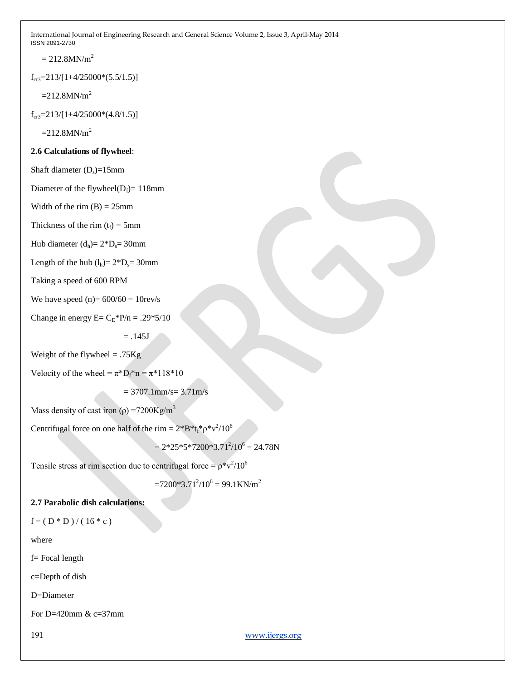$= 212.8$ MN/m<sup>2</sup>

 $f_{cr3}=213/[1+4/25000*(5.5/1.5)]$ 

 $=212.8$ MN/m<sup>2</sup>

 $f_{cr3}=213/[1+4/25000*(4.8/1.5)]$ 

 $=212.8MN/m<sup>2</sup>$ 

## **2.6 Calculations of flywheel**:

Shaft diameter  $(D_s)=15$ mm

Diameter of the flywheel( $D_f$ )= 118mm

Width of the rim  $(B) = 25$ mm

Thickness of the rim  $(t_f) = 5$ mm

Hub diameter  $(d_h) = 2*D_s = 30$ mm

Length of the hub  $(l_h) = 2*D_s = 30$ mm

Taking a speed of 600 RPM

We have speed  $(n)= 600/60 = 10$ rev/s

Change in energy  $E = C_E * P/n = .29 * 5/10$ 

 $=.145J$ 

Weight of the flywheel  $= .75$ Kg

Velocity of the wheel =  $\pi^*D_f^*n = \pi^*118*10$ 

 $= 3707.1$ mm/s= 3.71m/s

Mass density of cast iron ( $\rho$ ) =7200Kg/m<sup>3</sup>

Centrifugal force on one half of the rim =  $2*B*t_f* \rho^*v^2/10^6$ 

 $= 2*25*5*7200*3.71<sup>2</sup>/10<sup>6</sup> = 24.78N$ 

Tensile stress at rim section due to centrifugal force =  $\rho^*v^2/10^6$ 

 $=7200*3.71<sup>2</sup>/10<sup>6</sup> = 99.1$ KN/m<sup>2</sup>

# **2.7 Parabolic dish calculations:**

 $f = (D * D) / (16 * c)$ 

where

f= Focal length

c=Depth of dish

D=Diameter

For D=420 $mm \& c=37$  $mm$ 

191 [www.ijergs.org](http://www.ijergs.org/)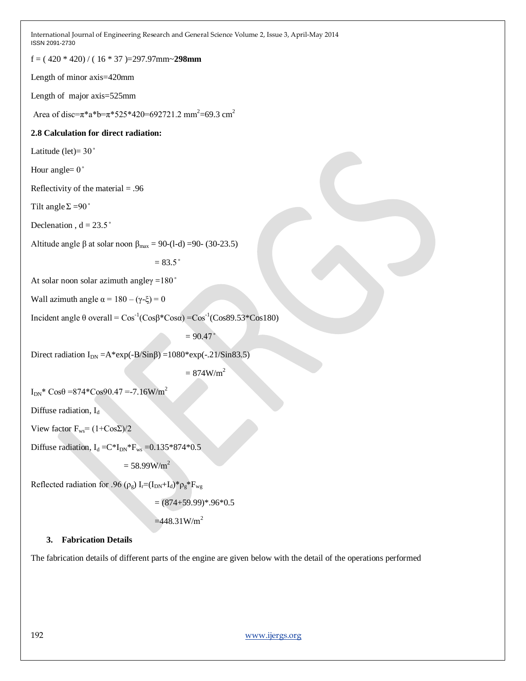f = ( 420 \* 420) / ( 16 \* 37 )=297.97mm~**298mm**

Length of minor axis=420mm

Length of major axis=525mm

Area of disc= $\pi$ \*a\*b= $\pi$ \*525\*420=692721.2 mm<sup>2</sup>=69.3 cm<sup>2</sup>

## **2.8 Calculation for direct radiation:**

Latitude (let) =  $30^\circ$ 

Hour angle= $0^\circ$ 

Reflectivity of the material  $= .96$ 

Tilt angle  $\Sigma = 90^\circ$ 

Declenation,  $d = 23.5$ °

Altitude angle β at solar noon  $β<sub>max</sub> = 90-(1-d) = 90-(30-23.5)$ 

 $= 83.5$   $^{\circ}$ 

At solar noon solar azimuth angley = $180^\circ$ 

Wall azimuth angle  $\alpha = 180 - (\gamma - \xi) = 0$ 

Incident angle θ overall =  $Cos^{-1}(Cosβ*Cosα) = Cos^{-1}(Cos89.53*Cos180)$ 

 $= 90.47$ 

Direct radiation  $I_{DN} = A*exp(-B/Sin\beta) = 1080*exp(-.21/Sin83.5)$ 

 $= 874 W/m<sup>2</sup>$ 

 $I_{DN}$ \* Cos $\theta$  =874\*Cos90.47 =-7.16W/m<sup>2</sup>

Diffuse radiation, I<sub>d</sub>

View factor  $F_{ws} = (1+Cos\Sigma)/2$ 

Diffuse radiation,  $I_d = C*I_{DN}*F_{ws} = 0.135*874*0.5$ 

 $= 58.99 W/m^2$ 

Reflected radiation for .96 ( $\rho_g$ ) I<sub>r</sub>=(I<sub>DN</sub>+I<sub>d</sub>)\* $\rho_g$ \*F<sub>wg</sub>

 $=(874+59.99)*.96*0.5$ 

 $=448.31 W/m<sup>2</sup>$ 

## **3. Fabrication Details**

The fabrication details of different parts of the engine are given below with the detail of the operations performed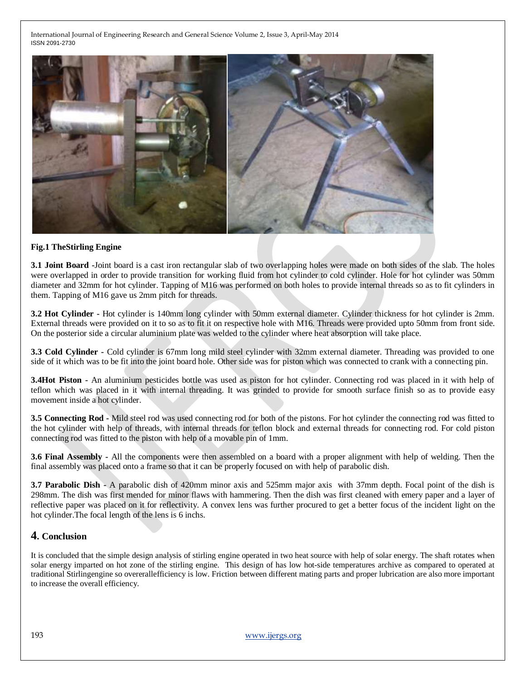

#### **Fig.1 TheStirling Engine**

**3.1 Joint Board -**Joint board is a cast iron rectangular slab of two overlapping holes were made on both sides of the slab. The holes were overlapped in order to provide transition for working fluid from hot cylinder to cold cylinder. Hole for hot cylinder was 50mm diameter and 32mm for hot cylinder. Tapping of M16 was performed on both holes to provide internal threads so as to fit cylinders in them. Tapping of M16 gave us 2mm pitch for threads.

**3.2 Hot Cylinder -** Hot cylinder is 140mm long cylinder with 50mm external diameter. Cylinder thickness for hot cylinder is 2mm. External threads were provided on it to so as to fit it on respective hole with M16. Threads were provided upto 50mm from front side. On the posterior side a circular aluminium plate was welded to the cylinder where heat absorption will take place.

**3.3 Cold Cylinder -** Cold cylinder is 67mm long mild steel cylinder with 32mm external diameter. Threading was provided to one side of it which was to be fit into the joint board hole. Other side was for piston which was connected to crank with a connecting pin.

**3.4Hot Piston -** An aluminium pesticides bottle was used as piston for hot cylinder. Connecting rod was placed in it with help of teflon which was placed in it with internal threading. It was grinded to provide for smooth surface finish so as to provide easy movement inside a hot cylinder.

**3.5 Connecting Rod -** Mild steel rod was used connecting rod for both of the pistons. For hot cylinder the connecting rod was fitted to the hot cylinder with help of threads, with internal threads for teflon block and external threads for connecting rod. For cold piston connecting rod was fitted to the piston with help of a movable pin of 1mm.

**3.6 Final Assembly -** All the components were then assembled on a board with a proper alignment with help of welding. Then the final assembly was placed onto a frame so that it can be properly focused on with help of parabolic dish.

**3.7 Parabolic Dish -** A parabolic dish of 420mm minor axis and 525mm major axis with 37mm depth. Focal point of the dish is 298mm. The dish was first mended for minor flaws with hammering. Then the dish was first cleaned with emery paper and a layer of reflective paper was placed on it for reflectivity. A convex lens was further procured to get a better focus of the incident light on the hot cylinder.The focal length of the lens is 6 inchs.

# **4. Conclusion**

It is concluded that the simple design analysis of stirling engine operated in two heat source with help of solar energy. The shaft rotates when solar energy imparted on hot zone of the stirling engine. This design of has low hot-side temperatures archive as compared to operated at traditional Stirlingengine so overerallefficiency is low. Friction between different mating parts and proper lubrication are also more important to increase the overall efficiency.